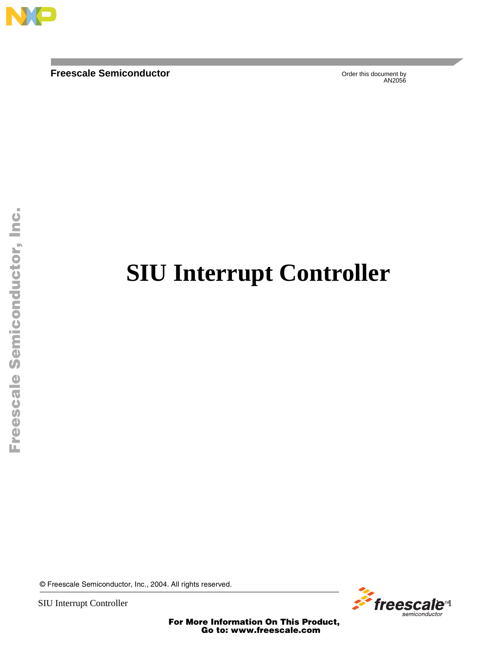

**Freescale Semiconductor** 

Order this document by

# **SIU Interrupt Controller**

© Freescale Semiconductor, Inc., 2004. All rights reserved.



For More Information On This Product, Go to: www.freescale.com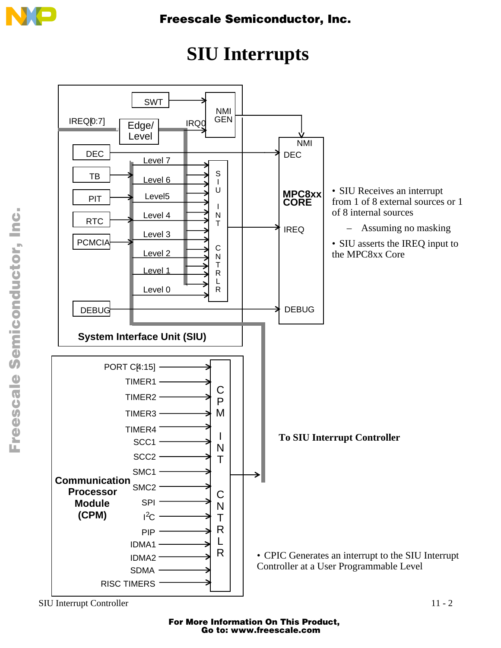

# **SIU Interrupts**



o n d u  $\mathbf 0$ t o

r, I

n

.<br>ق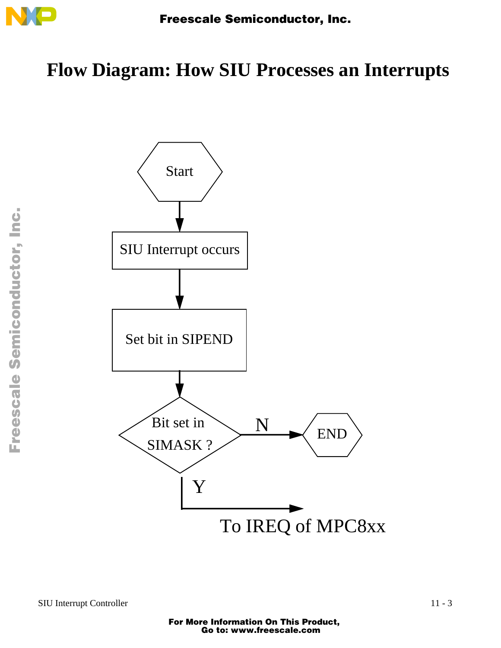

## **Flow Diagram: How SIU Processes an Interrupts**

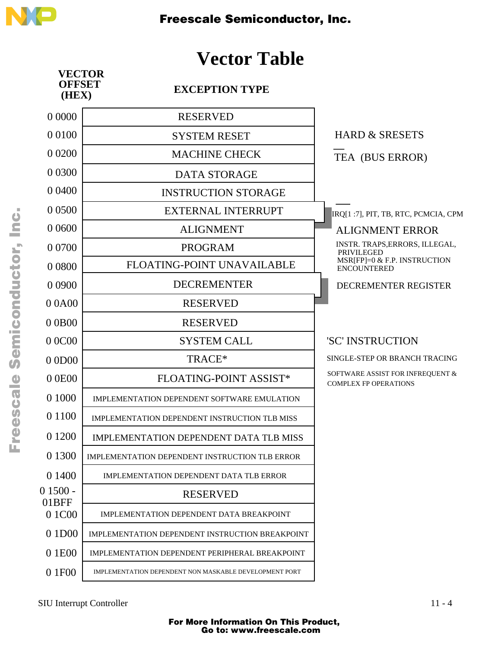

### **Vector Table**



F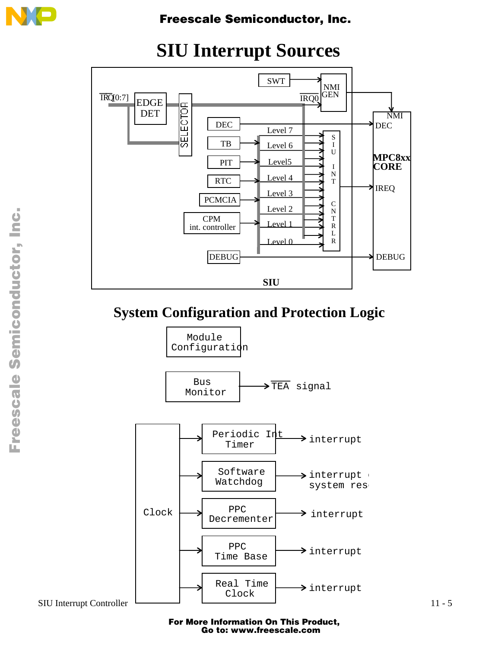



### **SIU Interrupt Sources**

### **System Configuration and Protection Logic**

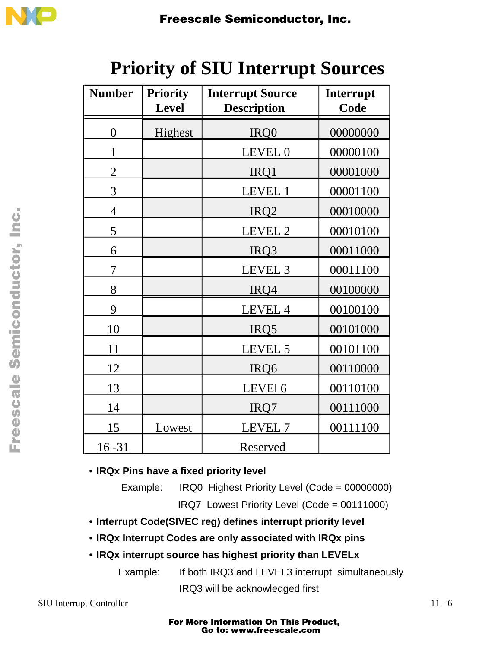

| <b>Number</b>  | <b>Priority</b><br><b>Level</b> | <b>Interrupt Source</b><br><b>Description</b> | Interrupt<br>Code |  |  |
|----------------|---------------------------------|-----------------------------------------------|-------------------|--|--|
| $\overline{0}$ | Highest                         | IRQ0                                          | 00000000          |  |  |
| 1              |                                 | LEVEL 0                                       | 00000100          |  |  |
| $\overline{2}$ |                                 | IRQ1                                          | 00001000          |  |  |
| 3              |                                 | LEVEL 1                                       | 00001100          |  |  |
| $\overline{4}$ |                                 | IRQ <sub>2</sub>                              | 00010000          |  |  |
| 5              |                                 | LEVEL 2                                       | 00010100          |  |  |
| 6              |                                 | IRQ3                                          | 00011000          |  |  |
| 7              |                                 | LEVEL 3                                       | 00011100          |  |  |
| 8              |                                 | IRQ4                                          | 00100000          |  |  |
| 9              |                                 | LEVEL 4                                       | 00100100          |  |  |
| 10             |                                 | IRQ5                                          | 00101000          |  |  |
| 11             |                                 | LEVEL 5                                       | 00101100          |  |  |
| 12             |                                 | IRQ6                                          | 00110000          |  |  |
| 13             |                                 | LEVEl 6                                       | 00110100          |  |  |
| 14             |                                 | IRQ7                                          | 00111000          |  |  |
| 15             | Lowest                          | LEVEL 7                                       | 00111100          |  |  |
| $16 - 31$      |                                 | Reserved                                      |                   |  |  |

## **Priority of SIU Interrupt Sources**

• **IRQx Pins have a fixed priority level**

Example: IRQ0 Highest Priority Level (Code = 00000000)

IRQ7 Lowest Priority Level (Code = 00111000)

• **Interrupt Code(SIVEC reg) defines interrupt priority level**

• **IRQx Interrupt Codes are only associated with IRQx pins**

• **IRQx interrupt source has highest priority than LEVELx** 

Example: If both IRQ3 and LEVEL3 interrupt simultaneously IRQ3 will be acknowledged first

SIU Interrupt Controller 11 - 6

 $\mathbf 0$ t o

r, I

n

.<br>ق

### For More Information On This Product, Go to: www.freescale.com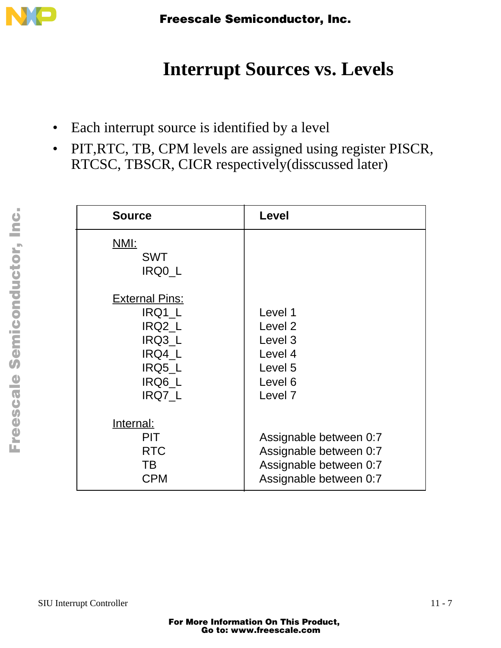

# **Interrupt Sources vs. Levels**

- Each interrupt source is identified by a level
- PIT,RTC, TB, CPM levels are assigned using register PISCR, RTCSC, TBSCR, CICR respectively(disscussed later)

| <b>Source</b>                                                                               | Level                                                                                                      |  |  |  |  |  |
|---------------------------------------------------------------------------------------------|------------------------------------------------------------------------------------------------------------|--|--|--|--|--|
| <u>NMI:</u><br><b>SWT</b><br>IRQ0 L                                                         |                                                                                                            |  |  |  |  |  |
| <b>External Pins:</b><br>IRQ1_L<br>IRQ2 L<br>IRQ3_L<br>IRQ4 L<br>IRQ5_L<br>IRQ6 L<br>IRQ7_L | Level 1<br>Level <sub>2</sub><br>Level 3<br>Level 4<br>Level 5<br>Level <sub>6</sub><br>Level <sub>7</sub> |  |  |  |  |  |
| Internal:<br><b>PIT</b><br><b>RTC</b><br>TB<br><b>CPM</b>                                   | Assignable between 0:7<br>Assignable between 0:7<br>Assignable between 0:7<br>Assignable between 0:7       |  |  |  |  |  |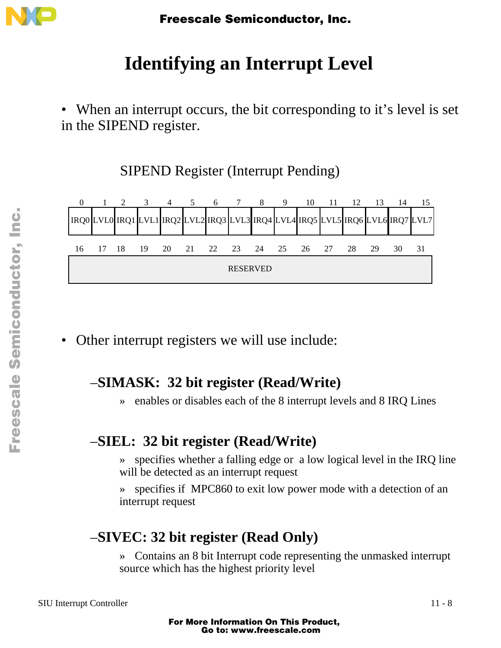

# **Identifying an Interrupt Level**

• When an interrupt occurs, the bit corresponding to it's level is set in the SIPEND register.

SIPEND Register (Interrupt Pending)



• Other interrupt registers we will use include:

### –**SIMASK: 32 bit register (Read/Write)**

» enables or disables each of the 8 interrupt levels and 8 IRQ Lines

### –**SIEL: 32 bit register (Read/Write)**

- » specifies whether a falling edge or a low logical level in the IRQ line will be detected as an interrupt request
- » specifies if MPC860 to exit low power mode with a detection of an interrupt request

### –**SIVEC: 32 bit register (Read Only)**

» Contains an 8 bit Interrupt code representing the unmasked interrupt source which has the highest priority level

Fr  $\boldsymbol{\Phi}$  $\bf \Phi$  $\boldsymbol{\eta}$  $\mathbf 0$ 

ale

 $\boldsymbol{g}$  $\bf \Phi$ 

mic

o n d u  $\mathbf 0$ t o

r, I

n

.<br>ق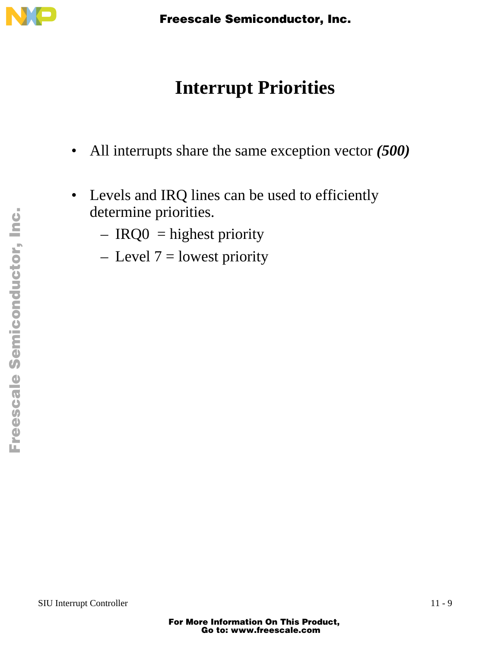

# **Interrupt Priorities**

- All interrupts share the same exception vector *(500)*
- Levels and IRQ lines can be used to efficiently determine priorities.
	- $-$  IRQ0 = highest priority
	- $-$  Level  $7 =$  lowest priority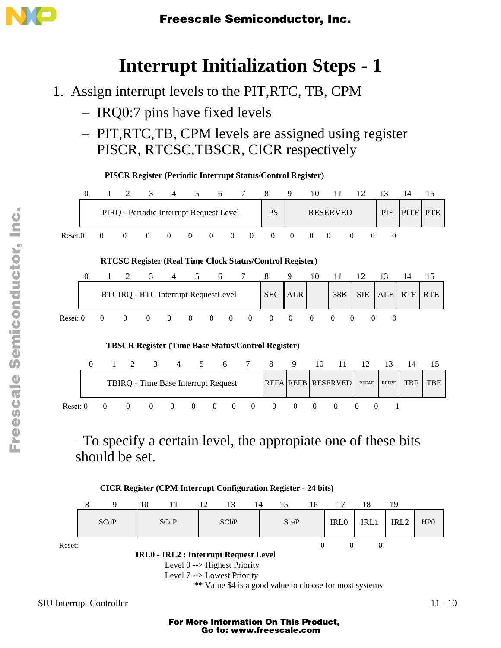

### **Interrupt Initialization Steps - 1**

- 1. Assign interrupt levels to the PIT,RTC, TB, CPM
	- IRQ0:7 pins have fixed levels
	- PIT,RTC,TB, CPM levels are assigned using register PISCR, RTCSC,TBSCR, CICR respectively



–To specify a certain level, the appropiate one of these bits should be set.



\*\* Value \$4 is a good value to choose for most systems

SIU Interrupt Controller 11 - 10

### For More Information On This Product, Go to: www.freescale.com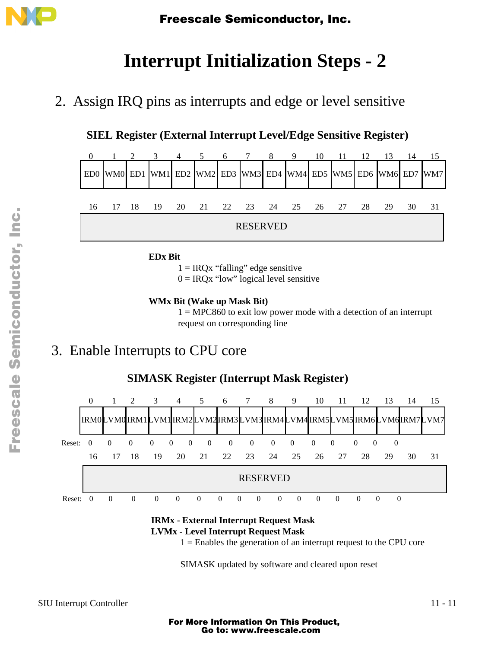

# **Interrupt Initialization Steps - 2**

2. Assign IRQ pins as interrupts and edge or level sensitive

#### **SIEL Register (External Interrupt Level/Edge Sensitive Register)**



**EDx Bit**

 $1 = IRQx$  "falling" edge sensitive

 $0 = IRQx$  "low" logical level sensitive

#### **WMx Bit (Wake up Mask Bit)**

 $1 = MPC860$  to exit low power mode with a detection of an interrupt request on corresponding line

### 3. Enable Interrupts to CPU core



#### **IRMx - External Interrupt Request Mask LVMx - Level Interrupt Request Mask**

 $1 =$  Enables the generation of an interrupt request to the CPU core

SIMASK updated by software and cleared upon reset

### For More Information On This Product, Go to: www.freescale.com

Fr  $\boldsymbol{\Phi}$  $\bf \Phi$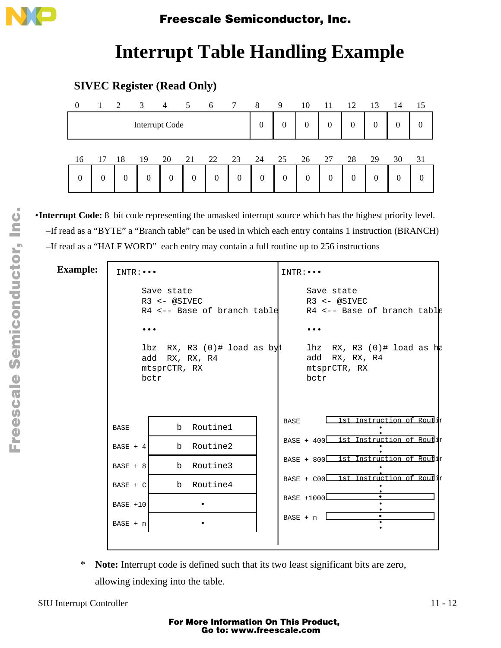

### **Interrupt Table Handling Example**

#### **SIVEC Register (Read Only)**

| $\overline{0}$   | -1 | $\overline{2}$ | $\overline{\mathbf{3}}$ |                | $4 \quad 5 \quad 6$ |    | $7\overline{ }$ | 8              | 9                | 10               | -11 | -12              | -13            | 14               | 15 |
|------------------|----|----------------|-------------------------|----------------|---------------------|----|-----------------|----------------|------------------|------------------|-----|------------------|----------------|------------------|----|
| Interrupt Code   |    |                |                         |                |                     |    | $\overline{0}$  | $\theta$       | $\overline{0}$   | $\boldsymbol{0}$ | 0   | $\boldsymbol{0}$ | $\overline{0}$ | $\boldsymbol{0}$ |    |
| 16               | 17 | -18            | 19                      | 20             | 21                  | 22 | 23              | 24             | 25               | 26               | 27  | 28               | 29             | 30               | 31 |
| $\boldsymbol{0}$ | 0  | 0              | $\overline{0}$          | $\overline{0}$ | 0                   | 0  | $\overline{0}$  | $\overline{0}$ | $\boldsymbol{0}$ | $\overline{0}$   | 0   | $\overline{0}$   | $\theta$       | 0                | 0  |

•**Interrupt Code:** 8 bit code representing the umasked interrupt source which has the highest priority level. –If read as a "BYTE" a "Branch table" can be used in which each entry contains 1 instruction (BRANCH) –If read as a "HALF WORD" each entry may contain a full routine up to 256 instructions

#### INTR:••• Save state R3 <- @SIVEC R4 <-- Base of branch table ••• lbz  $RX, R3$  (0)# load as byt add RX, RX, R4 mtsprCTR, RX bctr INTR:••• Save state R3 <- @SIVEC R4 <-- Base of branch table ••• lhz RX, R3  $(0)$ # load as he add RX, RX, R4 mtsprCTR, RX bctr BASE | b Routine1 b Routine2 b Routine3 b Routine4 •  $BASE + n$  • BASE + 4 BASE + 8 BASE + C BASE +10 BASE 1st Instruction of Routin BASE + 400 L1st Instruction of Routir 1st Instruction of Routir 1st Instruction of Routir •  $BASE + n$  $BASE + 800$  $BASE + CO0$ BASE +1000 • • • • • • • • • • • **Example:**

\* **Note:** Interrupt code is defined such that its two least significant bits are zero, allowing indexing into the table.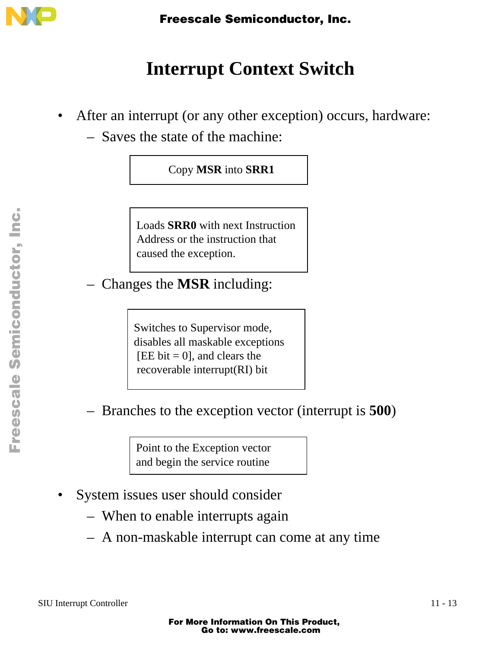

# **Interrupt Context Switch**

- After an interrupt (or any other exception) occurs, hardware:
	- Saves the state of the machine:

### Copy **MSR** into **SRR1**

Loads **SRR0** with next Instruction Address or the instruction that caused the exception.

– Changes the **MSR** including:

Switches to Supervisor mode, disables all maskable exceptions  $[EE bit = 0]$ , and clears the recoverable interrupt(RI) bit

– Branches to the exception vector (interrupt is **500**)

Point to the Exception vector and begin the service routine

- System issues user should consider
	- When to enable interrupts again
	- A non-maskable interrupt can come at any time

.<br>ق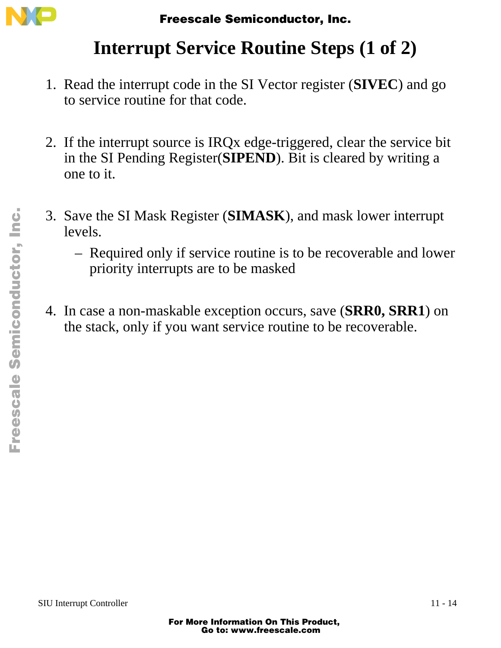

# **Interrupt Service Routine Steps (1 of 2)**

- 1. Read the interrupt code in the SI Vector register (**SIVEC**) and go to service routine for that code.
- 2. If the interrupt source is IRQx edge-triggered, clear the service bit in the SI Pending Register(**SIPEND**). Bit is cleared by writing a one to it.
- 3. Save the SI Mask Register (**SIMASK**), and mask lower interrupt levels.
	- Required only if service routine is to be recoverable and lower priority interrupts are to be masked
- 4. In case a non-maskable exception occurs, save (**SRR0, SRR1**) on the stack, only if you want service routine to be recoverable.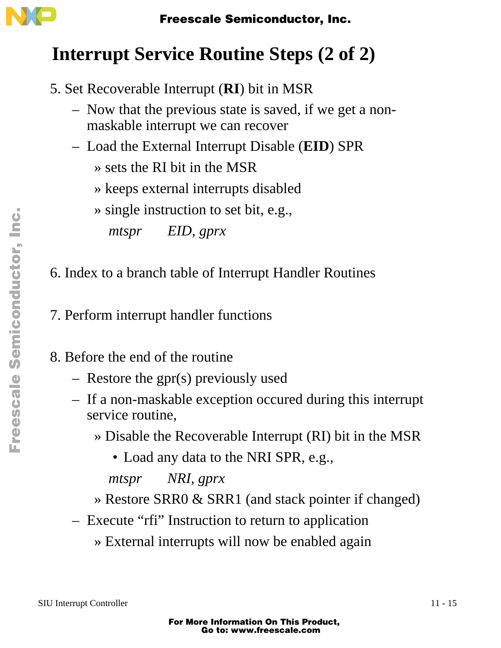

# **Interrupt Service Routine Steps (2 of 2)**

- 5. Set Recoverable Interrupt (**RI**) bit in MSR
	- Now that the previous state is saved, if we get a nonmaskable interrupt we can recover
	- Load the External Interrupt Disable (**EID**) SPR
		- » sets the RI bit in the MSR
		- » keeps external interrupts disabled
		- » single instruction to set bit, e.g.,

*mtspr EID, gprx*

6. Index to a branch table of Interrupt Handler Routines

7. Perform interrupt handler functions

8. Before the end of the routine

- Restore the gpr(s) previously used
- If a non-maskable exception occured during this interrupt service routine,
	- » Disable the Recoverable Interrupt (RI) bit in the MSR

• Load any data to the NRI SPR, e.g.,

*mtspr NRI, gprx*

- » Restore SRR0 & SRR1 (and stack pointer if changed)
- Execute "rfi" Instruction to return to application
	- » External interrupts will now be enabled again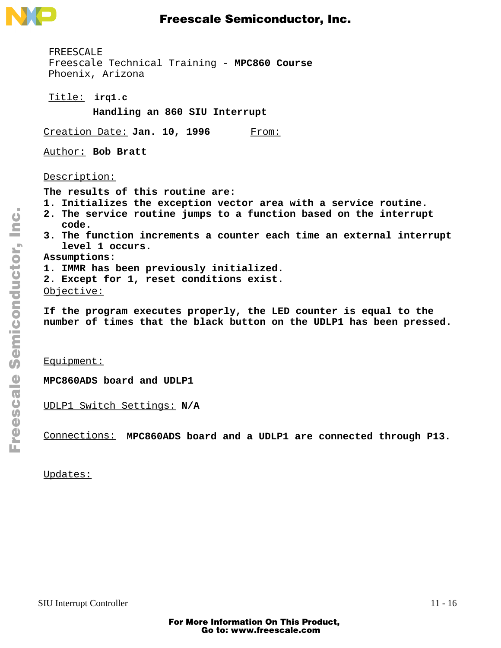

**irq1.c** Title: FREESCALE Freescale Technical Training - **MPC860 Course** Phoenix, Arizona **Handling an 860 SIU Interrupt** Creation Date: Jan. 10, 1996 From: Author: **Bob Bratt** Description: **The results of this routine are: 1. Initializes the exception vector area with a service routine. 2. The service routine jumps to a function based on the interrupt code. 3. The function increments a counter each time an external interrupt level 1 occurs. Assumptions:**

- **1. IMMR has been previously initialized.**
- **2. Except for 1, reset conditions exist.**

Objective:

**If the program executes properly, the LED counter is equal to the number of times that the black button on the UDLP1 has been pressed.**

Equipment:

**MPC860ADS board and UDLP1**

UDLP1 Switch Settings: **N/A**

Connections: **MPC860ADS board and a UDLP1 are connected through P13.**

Updates: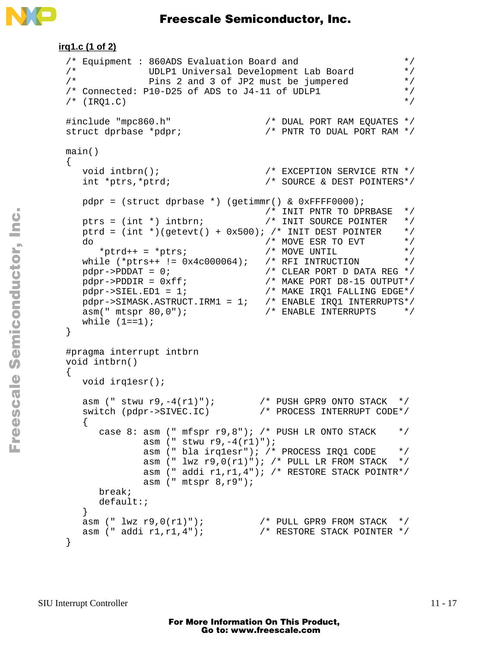

```
irq1.c (1 of 2)
 /* Equipment : 860ADS Evaluation Board and */
 /* UDLP1 Universal Development Lab Board */
              Pins 2 and 3 of JP2 must be jumpered */
 /* Connected: P10-D25 of ADS to J4-11 of UDLP1 \begin{array}{ccc} \star \end{array} \begin{array}{ccc} \star \end{array}/* (IRO1.C)
 #include "mpc860.h" /* DUAL PORT RAM EQUATES */
 struct dprbase *pdpr; \sqrt{X} PNTR TO DUAL PORT RAM */
 main()
 {
   void intbrn(); \overline{a} /* EXCEPTION SERVICE RTN */
    int *ptrs,*ptrd; /* SOURCE & DEST POINTERS*/
   pdpr = (struct dprbase *) (getimm) & 0xFFF0000); /* INIT PNTR TO DPRBASE */
  ptrs = (int *) intbrn; /* INIT SOURCE POINTER */
   ptrd = (int *)(getevt() + 0x500); /* INT DEST POINTER * /do <br> *ptrd++ = *ptrs; <br> */* MOVE UNTIL */* <br> */* MOVE UNTIL */*
 *ptrd++ = *ptrs; /* MOVE UNTIL */
  while (*ptrs++ != 0x4c000064); /* RFI INTRUCTION */
 pdpr \rightarrow PDDAT = 0; /* CLEAR PORT D DATA REG */
  pdpr->PDDIR = 0xff; /* MAKE PORT D8-15 OUTPUT*/
  pdpr->SIEL.ED1 = 1; /* MAKE IRQ1 FALLING EDGE*/
  pdpr->SIMASK.ASTRUCT.IRM1 = 1; /* ENABLE IRQ1 INTERRUPTS*/
   asm(" mtspr 80,0"); \overline{\hspace{1cm}} /* ENABLE INTERRUPTS */
   while (1 == 1);
 }
 #pragma interrupt intbrn
 void intbrn()
\{ void irq1esr();
  asm (" stwu r9,-4(r1)"); /* PUSH GPR9 ONTO STACK */
  switch (pdpr->SIVEC.IC) /* PROCESS INTERRUPT CODE*/
   \{case 8: asm (" mfspr r9,8"); /* PUSH LR ONTO STACK */
             asm (" stwu r9, -4(r1)");
              asm (" bla irq1esr"); /* PROCESS IRQ1 CODE */
             asm (" lwx r9,0(r1)"); /* PULL LR FROM STACK */
              asm (" addi r1,r1,4"); /* RESTORE STACK POINTR*/
              asm (" mtspr 8,r9");
       break;
       default:;
     }
  asm (" lwz r9,0(r1)"); /* PULL GPR9 FROM STACK */
  asm (" addi r1,r1,4"); /* RESTORE STACK POINTER */
 }
```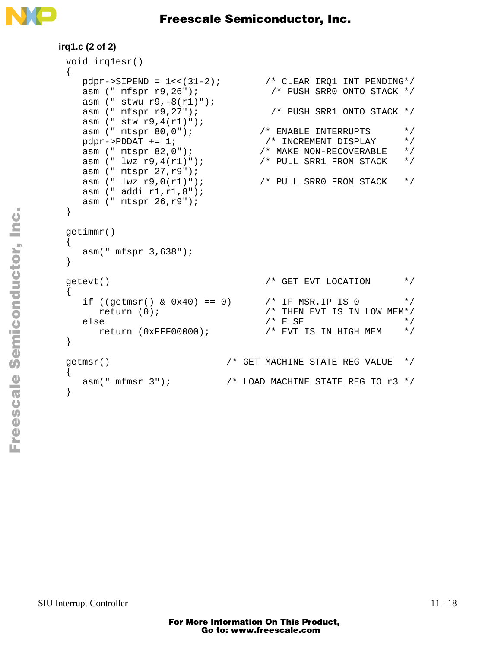

```
irq1.c (2 of 2)
 void irq1esr()
 {
   pdpr->SIPEND = 1<<(31-2); /* CLEAR IRQ1 INT PENDING*/
    asm (" mfspr r9,26"); /* PUSH SRR0 ONTO STACK */
    asm (" stwu r9,-8(r1)");
    asm (" mfspr r9,27"); /* PUSH SRR1 ONTO STACK */
    asm (" stw r9,4(r1)");
   asm (" mtspr 80,0"); <br> pdpr->PDDAT += 1; <br> /* INCREMENT DISPLAY */
    pdpr->PDDAT += 1; /* INCREMENT DISPLAY */
  asm (" mtspr 82,0"); /* MAKE NON-RECOVERABLE */
  asm (" lwz r9,4(r1)"); /* PULL SRR1 FROM STACK */
    asm (" mtspr 27,r9"); 
   asm (" lwz r9,0(r1)"); /* PULL SRR0 FROM STACK */
    asm (" addi r1,r1,8");
    asm (" mtspr 26,r9");
 }
getimmr()
 {
    asm(" mfspr 3,638");
 }
 getevt() \qquad \qquad /* GET EVT LOCATION \qquad \qquad \star{
   if ((getmsr() & 0x40) == 0) \frac{x}{x} IF MSR.IP IS 0 \frac{x}{x}return (0); / THEN EVT IS IN LOW MEM*/
 else /* ELSE */
      return (0xFFF00000); /* EVT IS IN HIGH MEM */}
getmsr() /* GET MACHINE STATE REG VALUE */
 \{asm(" mfmsr 3"); \qquad /* LOAD MACHINE STATE REG TO r3 */
 }
```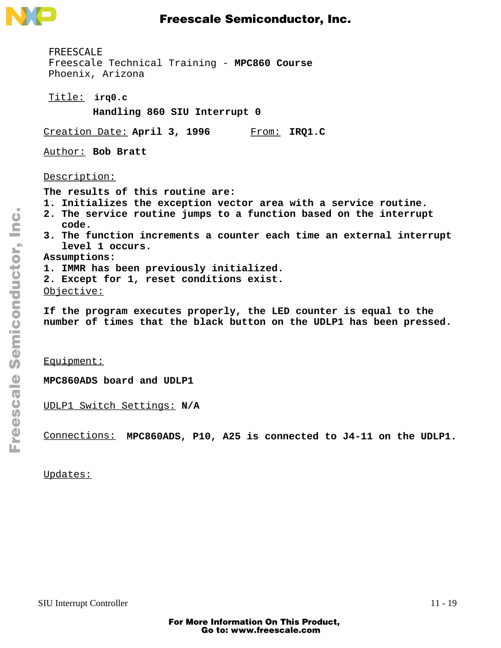

**irq0.c** Title: FREESCALE Freescale Technical Training - **MPC860 Course** Phoenix, Arizona **Handling 860 SIU Interrupt 0** Creation Date: April 3, 1996 Author: **Bob Bratt** Description: **The results of this routine are: 1. Initializes the exception vector area with a service routine. 2. The service routine jumps to a function based on the interrupt code. 3. The function increments a counter each time an external interrupt level 1 occurs. Assumptions:** From: IRQ1.C

**1. IMMR has been previously initialized.**

**2. Except for 1, reset conditions exist.**

Objective:

**If the program executes properly, the LED counter is equal to the number of times that the black button on the UDLP1 has been pressed.**

Equipment:

**MPC860ADS board and UDLP1**

UDLP1 Switch Settings: **N/A**

Connections: **MPC860ADS, P10, A25 is connected to J4-11 on the UDLP1.**

Updates: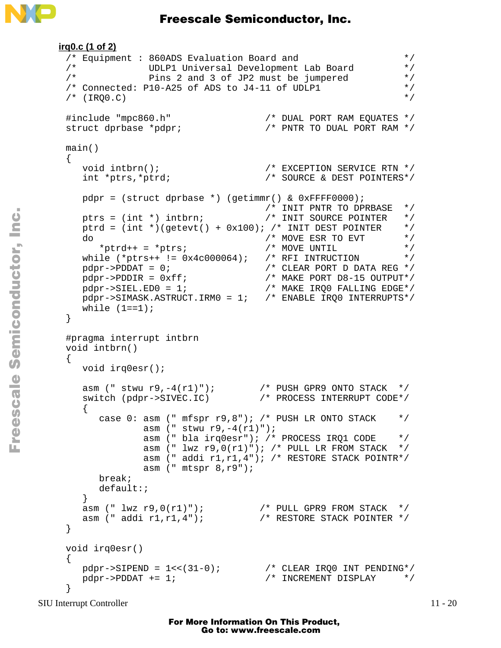```
irq0.c (1 of 2)
 /* Equipment : 860ADS Evaluation Board and \frac{\ast}{4}<br>/* UDLP1 Universal Development Jah Board */
 /* UDLP1 Universal Development Lab Board */
 /* Pins 2 and 3 of JP2 must be jumpered */
 /* Connected: P10-A25 of ADS to J4-11 of UDLP1 */\frac{1}{2} (IRQ0.C) \frac{1}{2} (IRQ0.C)
 #include "mpc860.h" /* DUAL PORT RAM EQUATES */
 struct dprbase *pdpr; /* PNTR TO DUAL PORT RAM */
 main()
 {
    void intbrn(); /* EXCEPTION SERVICE RTN */
                                 /* SOURCE & DEST POINTERS*/
    pdpr = (struct dprbase *) (getimmr() & 0xFFFF0000);
                                  /* INIT PNTR TO DPRBASE */<br>/* INIT SOURCE POINTER */
   ptrs = (int * ) intbrn;
   ptrd = (int *)(getevt() + 0x100); /* INIT DEST POINTER */<br>do * MOVE ESR TO EVT */
 do / \star MOVE ESR TO EVT \star /
 *ptrd++ = *ptrs; /* MOVE UNTIL */
   while (*ptrs++ := 0x4c000064); /* RFI INTRUCTION */
 pdpr\rightarrow PDDAT = 0; /* CLEAR PORT D DATA REG */
  pdpr->PDDIR = 0xff; /* MAKE PORT D8-15 OUTPUT*/
  pdpr->SIEL.ED0 = 1; /* MAKE IRQ0 FALLING EDGE*/
  pdpr->SIMASK.ASTRUCT.IRM0 = 1; /* ENABLE IRQ0 INTERRUPTS*/
   while (1 == 1);
 }
 #pragma interrupt intbrn
 void intbrn()
 \{ void irq0esr();
  asm (" stwu r9,-4(r1)"); /* PUSH GPR9 ONTO STACK */
  switch (pdpr->SIVEC.IC) /* PROCESS INTERRUPT CODE*/
    {
      case 0: asm (" mfspr r9,8"); /* PUSH LR ONTO STACK */
               asm (" stwu r9,-4(r1)");
               asm (" bla irq0esr"); /* PROCESS IRQ1 CODE */
              asm (" lwx r9,0(r1)"); /* PULL LR FROM STACK */
               asm (" addi r1,r1,4"); /* RESTORE STACK POINTR*/
               asm (" mtspr 8,r9");
       break;
       default:;
     }
  asm (" lwz r9,0(r1)"); /* PULL GPR9 FROM STACK */
  asm (" addi r1,r1,4"); /* RESTORE STACK POINTER */
 }
 void irq0esr()
 {
  pdpr->SIPEND = 1<<(31-0); /* CLEAR IRQ0 INT PENDING*/
 pdpr \rightarrow PDDAT += 1; \qquad \qquad /* INCREMENT DISPLAY \qquad \qquad \star /
 }
```